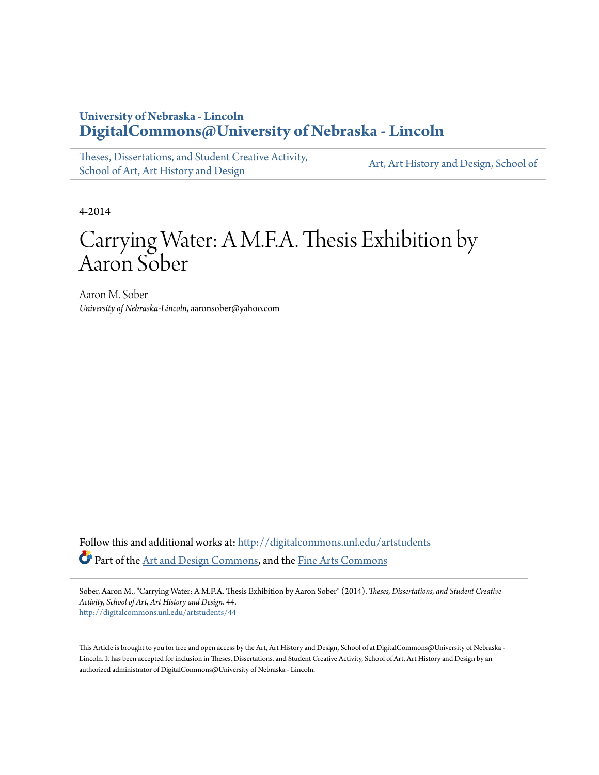# **University of Nebraska - Lincoln [DigitalCommons@University of Nebraska - Lincoln](http://digitalcommons.unl.edu?utm_source=digitalcommons.unl.edu%2Fartstudents%2F44&utm_medium=PDF&utm_campaign=PDFCoverPages)**

[Theses, Dissertations, and Student Creative Activity,](http://digitalcommons.unl.edu/artstudents?utm_source=digitalcommons.unl.edu%2Fartstudents%2F44&utm_medium=PDF&utm_campaign=PDFCoverPages) [School of Art, Art History and Design](http://digitalcommons.unl.edu/artstudents?utm_source=digitalcommons.unl.edu%2Fartstudents%2F44&utm_medium=PDF&utm_campaign=PDFCoverPages)

[Art, Art History and Design, School of](http://digitalcommons.unl.edu/art?utm_source=digitalcommons.unl.edu%2Fartstudents%2F44&utm_medium=PDF&utm_campaign=PDFCoverPages)

4-2014

# Carrying Water: A M.F.A. Thesis Exhibition by Aaron Sober

Aaron M. Sober *University of Nebraska-Lincoln*, aaronsober@yahoo.com

Follow this and additional works at: [http://digitalcommons.unl.edu/artstudents](http://digitalcommons.unl.edu/artstudents?utm_source=digitalcommons.unl.edu%2Fartstudents%2F44&utm_medium=PDF&utm_campaign=PDFCoverPages) Part of the [Art and Design Commons,](http://network.bepress.com/hgg/discipline/1049?utm_source=digitalcommons.unl.edu%2Fartstudents%2F44&utm_medium=PDF&utm_campaign=PDFCoverPages) and the [Fine Arts Commons](http://network.bepress.com/hgg/discipline/1141?utm_source=digitalcommons.unl.edu%2Fartstudents%2F44&utm_medium=PDF&utm_campaign=PDFCoverPages)

Sober, Aaron M., "Carrying Water: A M.F.A. Thesis Exhibition by Aaron Sober" (2014). *Theses, Dissertations, and Student Creative Activity, School of Art, Art History and Design*. 44. [http://digitalcommons.unl.edu/artstudents/44](http://digitalcommons.unl.edu/artstudents/44?utm_source=digitalcommons.unl.edu%2Fartstudents%2F44&utm_medium=PDF&utm_campaign=PDFCoverPages)

This Article is brought to you for free and open access by the Art, Art History and Design, School of at DigitalCommons@University of Nebraska -Lincoln. It has been accepted for inclusion in Theses, Dissertations, and Student Creative Activity, School of Art, Art History and Design by an authorized administrator of DigitalCommons@University of Nebraska - Lincoln.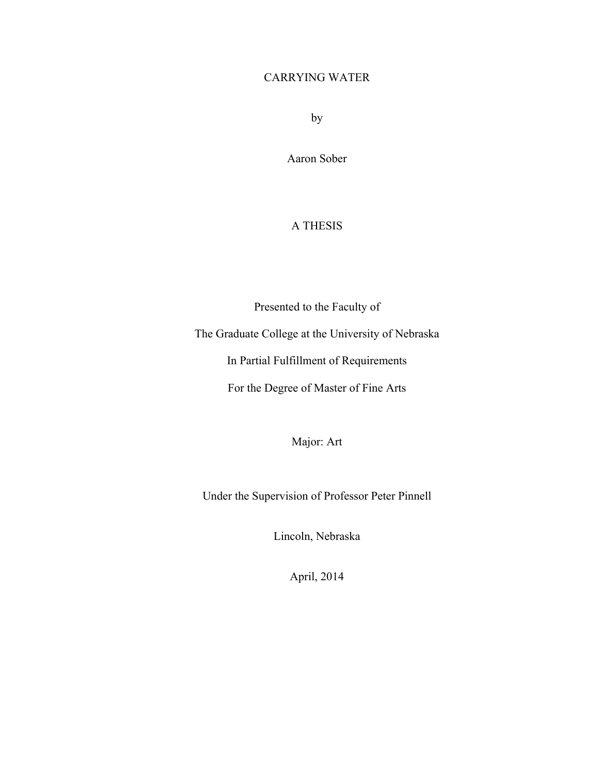# CARRYING WATER

by

Aaron Sober

## A THESIS

Presented to the Faculty of The Graduate College at the University of Nebraska In Partial Fulfillment of Requirements For the Degree of Master of Fine Arts

Major: Art

Under the Supervision of Professor Peter Pinnell

Lincoln, Nebraska

April, 2014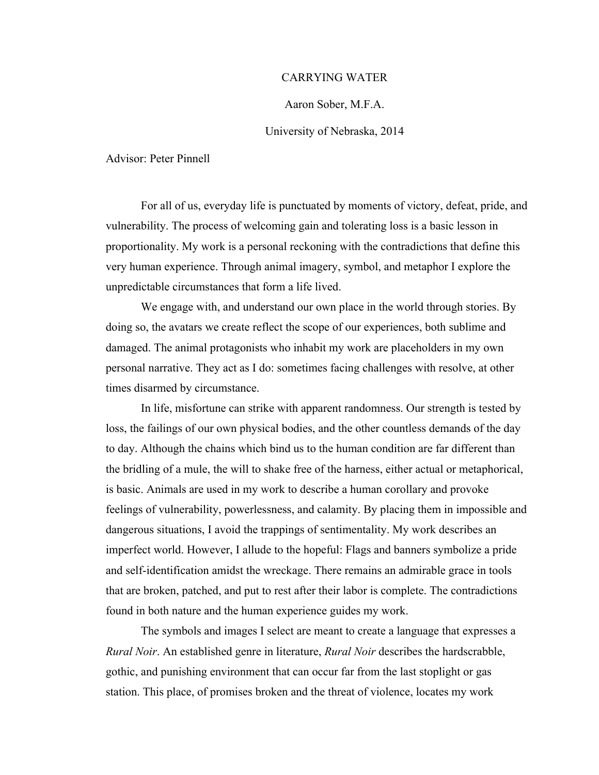### CARRYING WATER

### Aaron Sober, M.F.A.

### University of Nebraska, 2014

Advisor: Peter Pinnell

For all of us, everyday life is punctuated by moments of victory, defeat, pride, and vulnerability. The process of welcoming gain and tolerating loss is a basic lesson in proportionality. My work is a personal reckoning with the contradictions that define this very human experience. Through animal imagery, symbol, and metaphor I explore the unpredictable circumstances that form a life lived.

We engage with, and understand our own place in the world through stories. By doing so, the avatars we create reflect the scope of our experiences, both sublime and damaged. The animal protagonists who inhabit my work are placeholders in my own personal narrative. They act as I do: sometimes facing challenges with resolve, at other times disarmed by circumstance.

In life, misfortune can strike with apparent randomness. Our strength is tested by loss, the failings of our own physical bodies, and the other countless demands of the day to day. Although the chains which bind us to the human condition are far different than the bridling of a mule, the will to shake free of the harness, either actual or metaphorical, is basic. Animals are used in my work to describe a human corollary and provoke feelings of vulnerability, powerlessness, and calamity. By placing them in impossible and dangerous situations, I avoid the trappings of sentimentality. My work describes an imperfect world. However, I allude to the hopeful: Flags and banners symbolize a pride and self-identification amidst the wreckage. There remains an admirable grace in tools that are broken, patched, and put to rest after their labor is complete. The contradictions found in both nature and the human experience guides my work.

The symbols and images I select are meant to create a language that expresses a *Rural Noir*. An established genre in literature, *Rural Noir* describes the hardscrabble, gothic, and punishing environment that can occur far from the last stoplight or gas station. This place, of promises broken and the threat of violence, locates my work